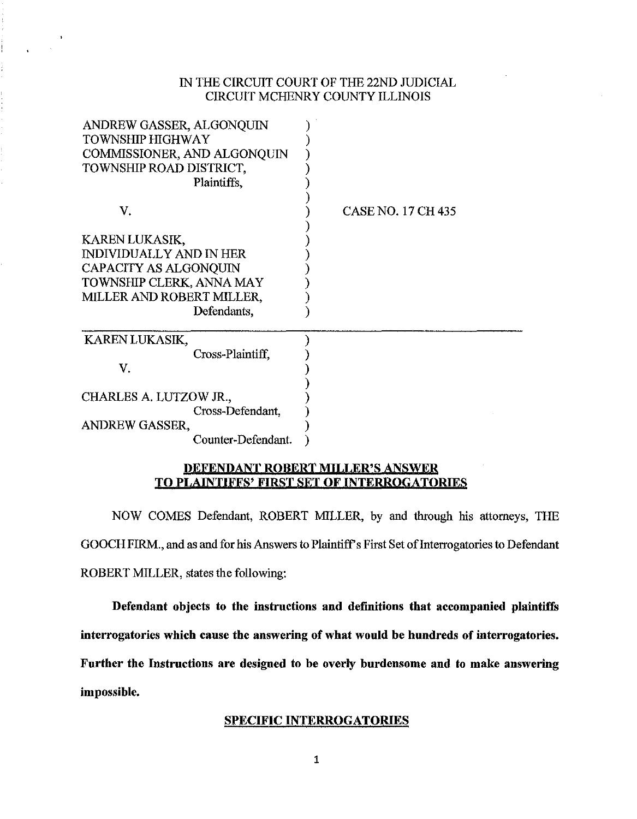#### IN THE CIRCUIT COURT OF THE 22ND JUDICIAL CIRCUIT MCHENRY COUNTY ILLINOIS

| ANDREW GASSER, ALGONQUIN<br><b>TOWNSHIP HIGHWAY</b><br>COMMISSIONER, AND ALGONQUIN<br>TOWNSHIP ROAD DISTRICT,<br>Plaintiffs, |                           |
|------------------------------------------------------------------------------------------------------------------------------|---------------------------|
| V.                                                                                                                           | <b>CASE NO. 17 CH 435</b> |
| KAREN LUKASIK,                                                                                                               |                           |
| <b>INDIVIDUALLY AND IN HER</b>                                                                                               |                           |
| <b>CAPACITY AS ALGONQUIN</b>                                                                                                 |                           |
| TOWNSHIP CLERK, ANNA MAY                                                                                                     |                           |
| MILLER AND ROBERT MILLER,                                                                                                    |                           |
| Defendants,                                                                                                                  |                           |
| <b>KAREN LUKASIK,</b>                                                                                                        |                           |
| Cross-Plaintiff,                                                                                                             |                           |
| V.                                                                                                                           |                           |
| CHARLES A. LUTZOW JR.,                                                                                                       |                           |
| Cross-Defendant,                                                                                                             |                           |
| <b>ANDREW GASSER,</b>                                                                                                        |                           |
| Counter-Defendant.                                                                                                           |                           |

#### DEFENDANT ROBERT MILLER'S ANSWER TO PLAINTIFFS' FIRST SET OF INTERROGATORIES

NOW COMES Defendant, ROBERT MILLER, by and through his attorneys, THE GOOCH FIRM., and as and for his Answers to Plaintiff's First Set of Interrogatories to Defendant ROBERT MILLER, states the following:

Defendant objects to the instructions and definitions that accompanied plaintiffs interrogatories which cause the answering of what would be hundreds of interrogatories. Further the Instructions are designed to be overly burdensome and to make answering impossible.

#### SPECIFIC INTERROGATORIES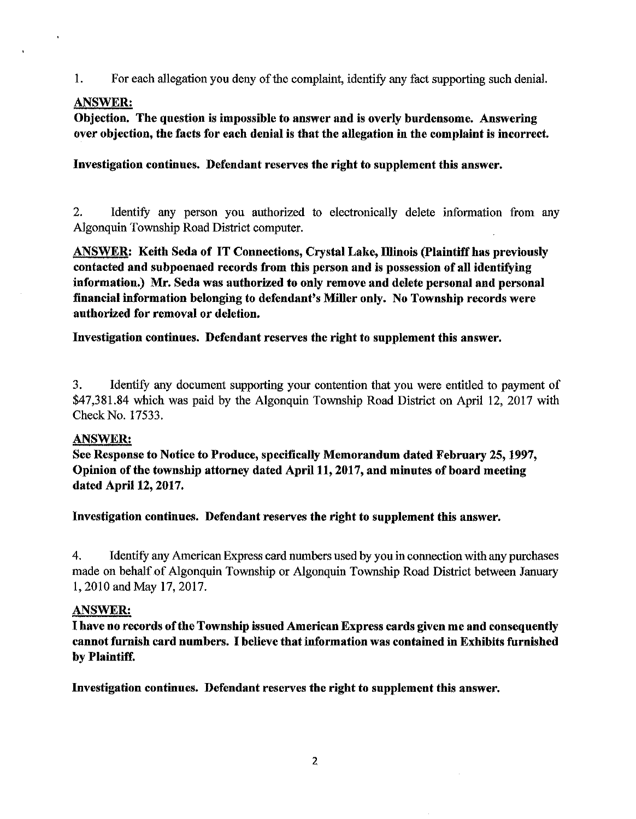1. For each allegation you deny of the complaint, identify any fact supporting such denial.

# ANSWER:

 $\hat{\mathbf{r}}$ 

Objection. The question is impossible to answer and is overly burdensome. Answering over objection, the facts for each denial is that the allegation in the complaint is incorrect.

Investigation continues. Defendant reserves the right to supplement this answer.

2. Identify any person you authorized to electronically delete information from any Algonquin Township Road District computer.

ANSWER: Keith Seda of IT Connections, Crystal Lake, Illinois (Plaintiff has previously contacted and subpoenaed records from this person and is possession of all identifying information.) Mr. Seda was authorized to only remove and delete personal and personal financial information belonging to defendant's Miller only. No Township records were authorized for removal or deletion.

Investigation continues. Defendant reserves the right to supplement this answer.

3. Identify any document supporting your contention that you were entitled to payment of \$47,381.84 which was paid by the Algonquin Township Road District on April 12, 2017 with Check No. 17533.

### ANSWER:

See Response to Notice to Produce, specifically Memorandum dated February 25, 1997, Opinion of the township attorney dated April 11, 2017, and minutes of board meeting dated April 12, 2017.

Investigation continues. Defendant reserves the right to supplement this answer.

4. Identify any American Express card numbers used by you in connection with any purchases made on behalf of Algonquin Township or Algonquin Township Road District between January l, 2010 and May 17, 2017.

### ANSWER:

I have no records of the Township issued American Express cards given me and consequently cannot furnish card numbers. I believe that information was contained in Exhibits furnished by Plaintiff.

Investigation continues. Defendant reserves the right to supplement this answer.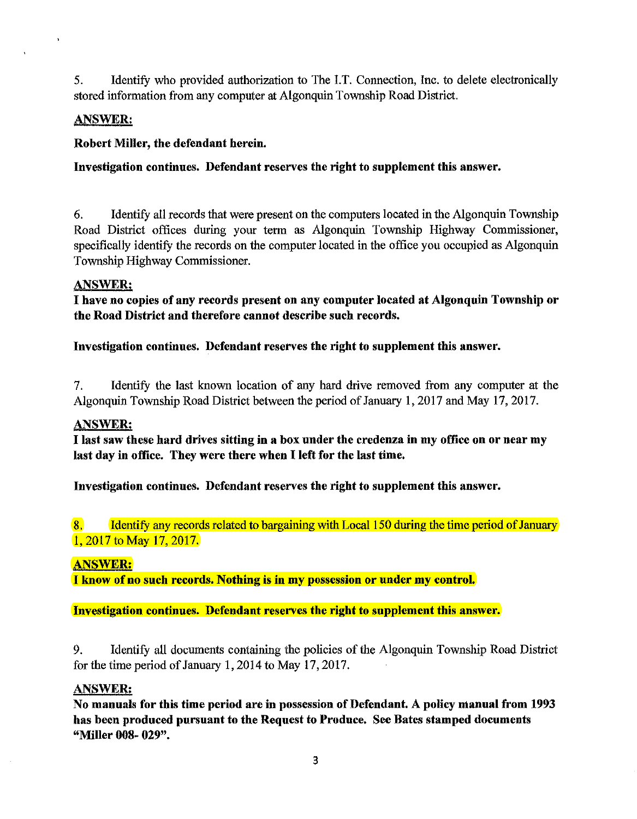5. Identify who provided authorization to The I.T. Connection, Inc. to delete electronically stored information from any computer at Algonquin Township Road District.

## ANSWER:

## Robert Miller, the defendant herein.

# Investigation continues. Defendant reserves the right to supplement this answer.

6. Identify all records that were present on the computers located in the Algonquin Township Road District offices during your term as Algonquin Township Highway Commissioner, specifically identify the records on the computer located in the office you occupied as Algonquin Township Highway Commissioner.

### ANSWER:

I have no copies of any records present on any computer located at Algonquin Township or the Road District and therefore cannot describe such records.

Investigation continues. Defendant reserves the right to supplement this answer.

7. Identify the last known location of any hard drive removed from any computer at the Algonquin Township Road District between the period of January 1, 2017 and May 17, 2017.

### ANSWER:

I last saw these hard drives sitting in a box under the credenza in my office on or near my last day in office. They were there when I left for the last time.

Investigation continues. Defendant reserves the right to supplement this answer.

8. Identify any records related to bargaining with Local 150 during the time period of January 1, 2017 to May 17, 2017.

### ANSWER:

I know of no such records. Nothing is in my possession or under my control

Investigation continues. Defendant reserves the right to supplement this answer.

9. Identify all documents containing the policies of the Algonquin Township Road District for the time period of January 1, 2014 to May 17, 2017.

### ANSWER:

No manuals for this time period are in possession of Defendant. A policy manual from 1993 has been produced pursuant to the Request to Produce. See Bates stamped documents "Miller 008- 029".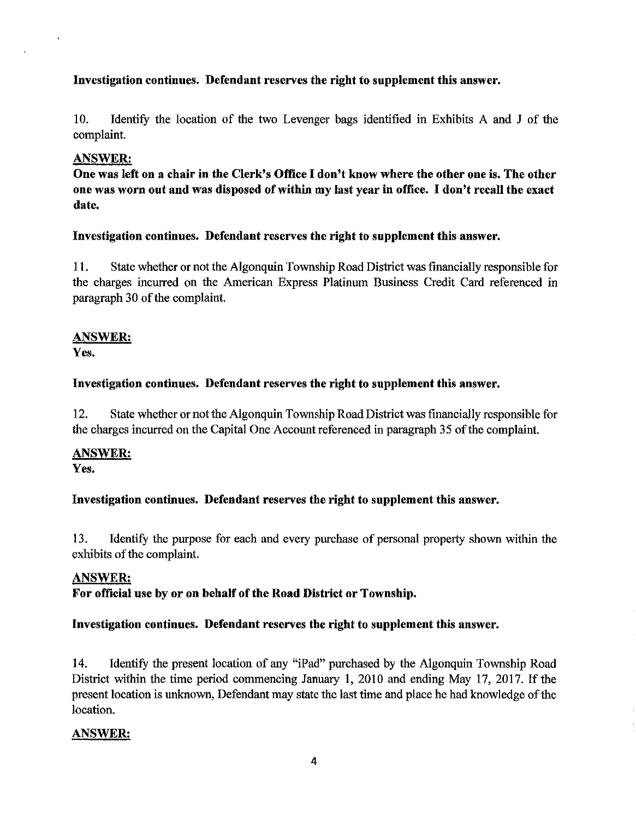## Investigation continues. Defendant reserves the right to supplement this answer.

10. Identify the location of the two Levenger bags identified in Exhibits A and J of the complaint.

### ANSWER:

One was left on a chair in the Clerk's Office I don't know where the other one is. The other one was worn out and was disposed of within my last year in office. I don't recall the exact date.

### Investigation continues. Defendant reserves the right to supplement this answer.

11. State whether or not the Algonquin Township Road District was financially responsible for the charges incurred on the American Express Platinum Business Credit Card referenced in paragraph 30 of the complaint.

# ANSWER:

Yes.

# Investigation continues. Defendant reserves the right to supplement this answer.

12. State whether or not the Algonquin Township Road District was financially responsible for the charges incurred on the Capital One Account referenced in paragraph 35 of the complaint.

# ANSWER:

Yes.

# Investigation continues. Defendant reserves the right to supplement this answer.

13. Identify the purpose for each and every purchase of personal property shown within the exhibits of the complaint.

### ANSWER:

For official use by or on behalf of the Road District or Township.

### Investigation continues. Defendant reserves the right to supplement this answer.

14. Identify the present location of any "iPad" purchased by the Algonquin Township Road District within the time period commencing January l, 2010 and ending May 17, 2017. If the present location is unknown, Defendant may state the last time and place he had knowledge of the location.

### ANSWER;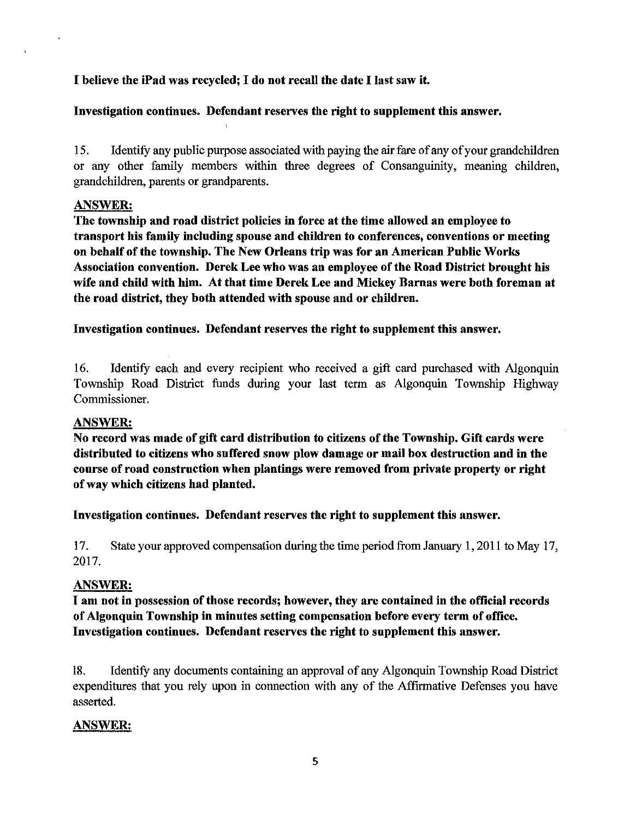## I believe the iPad was recycled; I do not recall the date I last saw it.

### Investigation continues. Defendant reserves the right to supplement this answer.

15. Identify any public purpose associated with paying the air fare of any of your grandchildren or any other family members within three degrees of Consanguinity, meaning children, grandchildren, parents or grandparents.

### ANSWER:

The township and road district policies in force at the time allowed an employee to transport his family including spouse and children to conferences, conventions or meeting on behalf of the township. The New Orleans trip was for an American Public Works Association convention. Derek Lee who was an employee of the Road District brought his wife and child with him. At that time Derek Lee and Mickey Barnas were both foreman at the road district, they both attended with spouse and or children.

Investigation continues. Defendant reserves the right to supplement this answer.

16. Identify each and every recipient who received a gift card purchased with Algonquin Township Road District funds during your last term as Algonquin Township Highway Commissioner.

#### ANSWER:

No record was made of gift card distribution to citizens of the Township. Gift cards were distributed to citizens who suffered snow plow damage or mail box destruction and in the conrse of road construction when plantings were removed from private property or right of way which citizens had planted.

Investigation continues. Defendant reserves the right to supplement this answer.

17. State your approved compensation during the time period from January 1, 2011 to May 17, 2017.

### ANSWER:

I am not in possession of those records; however, they are contained in the official records of Algonquin Township in minutes setting compensation before every term of office. Investigation continues. Defendant reserves the right to supplement this answer.

18. Identify any documents containing an approval of any Algonquin Township Road District expenditures that you rely upon in connection with any of the Affirmative Defenses you have asserted.

### ANSWER: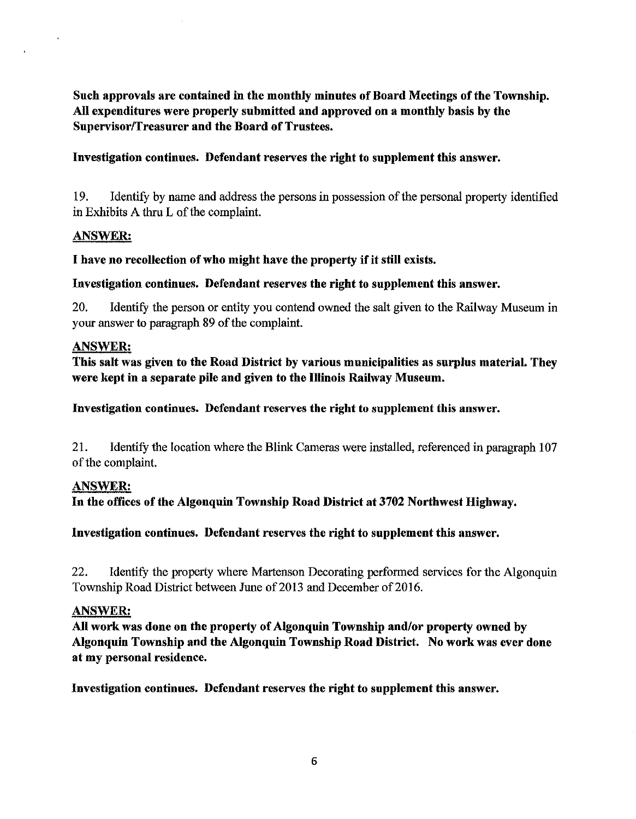Such approvals are contained in the monthly minutes of Board Meetings of the Township. All expenditures were properly submitted and approved on a monthly basis by the Supervisor/Treasurer and the Board of Trustees.

### Investigation continues. Defendant reserves the right to supplement this answer.

19. Identify by name and address the persons in possession of the personal property identified in Exhibits A thru L of the complaint.

#### ANSWER:

 $\ddot{\phantom{a}}$ 

### I have no recollection of who might have the property if it still exists.

### Investigation continues. Defendant reserves the right to supplement this answer.

20. Identify the person or entity you contend owned the salt given to the Railway Museum in your answer to paragraph 89 of the complaint.

#### ANSWER:

This salt was given to the Road District by various municipalities as surplus material. They were kept in a separate pile and given to the Illinois Railway Museum.

Investigation continues. Defendant reserves the right to supplement this answer.

21. Identify the location where the Blink Cameras were installed, referenced in paragraph 107 of the complaint.

### ANSWER:

In the offices of the Algonquin Township Road District at 3702 Northwest Highway.

### Investigation continues. Defendant reserves the right to supplement this answer.

22. Identify the property where Martenson Decorating performed services for the Algonquin Township Road District between June of 2013 and December of 2016.

### ANSWER:

All work was done on the property of Algonquin Township and/or property owned by Algonquin Township and the Algonquin Township Road District. No work was ever done at my personal residence.

Investigation continues. Defendant reserves the right to supplement this answer.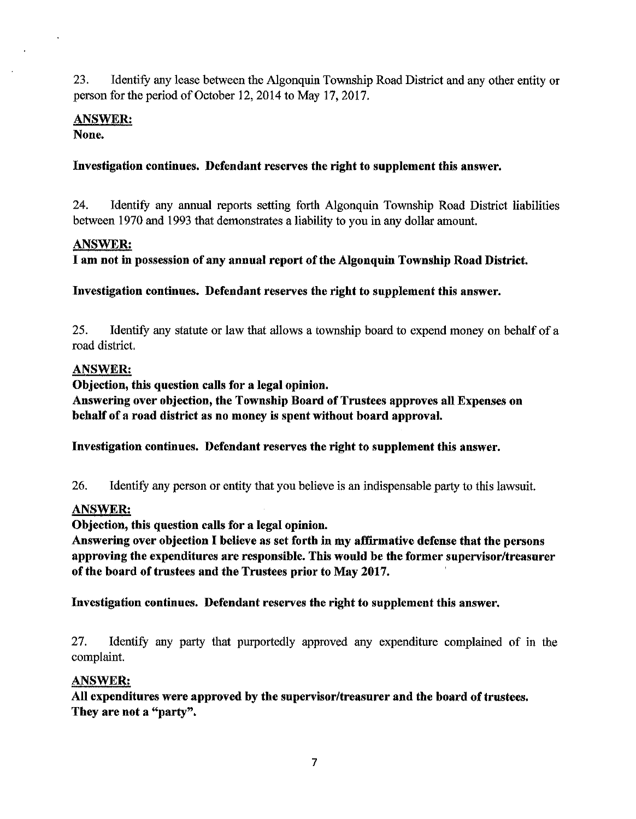23. Identify any lease between the Algonquin Township Road District and any other entity or person for the period of October 12, 2014 to May 17, 2017.

# ANSWER:

None.

### Investigation continues. Defendant reserves the right to supplement this answer.

24. Identify any annual reports setting forth Algonquin Township Road District liabilities between 1970 and 1993 that demonstrates a liability to you in any dollar amount.

### ANSWER:

I am not in possession of any annual report of the Algonquin Township Road District.

Investigation continues. Defendant reserves the right to supplement this answer.

25. Identify any statute or law that allows a township board to expend money on behalf of a road district.

# ANSWER:

Objection, this question calls for a legal opinion.

Answering over objection, the Township Board of Trustees approves all Expenses on behalf of a road district as no money is spent without board approval.

Investigation continues. Defendant reserves the right to supplement this answer.

26. Identify any person or entity that you believe is an indispensable party to this lawsuit.

# ANSWER:

Objection, this question calls for a legal opinion.

Answering over objection I believe as set forth in my affirmative defense that the persons approving the expenditures are responsible. This would be the former supervisor/treasurer of the board of trustees and the Trustees prior to May 2017.

Investigation continues. Defendant reserves the right to supplement this answer.

27. Identify any party that purportedly approved any expenditure complained of in the complaint.

### ANSWER:

All expenditures were approved by the supervisor/treasurer and the board of trustees. They are not a "party".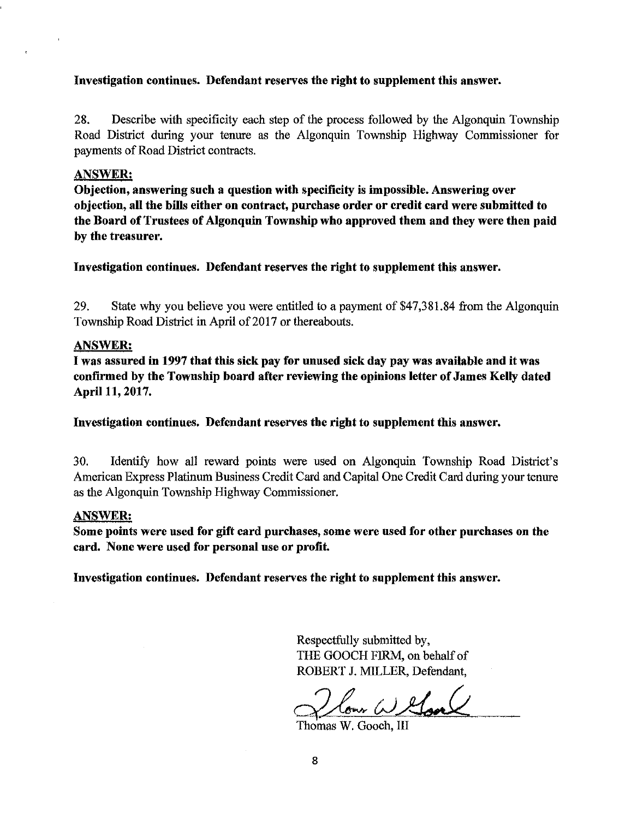#### Investigation continues. Defendant reserves the right to supplement this answer.

28. Describe with specificity each step of the process followed by the Algonquin Township Road District during your tenure as the Algonquin Township Highway Commissioner for payments of Road District contracts.

#### ANSWER:

Objection, answering such a question with specificity is impossible. Answering over objection, all the bills either on contract, purchase order or credit card were submitted to the Board of Trustees of Algonquin Township who approved them and they were then paid by the treasurer.

Investigation continues. Defendant reserves the right to supplement this answer.

29. State why you believe you were entitled to a payment of \$47,381.84 from the Algonquin Township Road District in April of 2017 or thereabouts.

#### ANSWER:

I was assured in 1997 that this sick pay for unused sick day pay was available and it was confirmed by the Township board after reviewing the opinions letter of James Kelly dated April 11, 2017.

Investigation continues. Defendant reserves the right to supplement this answer.

30. Identify how all reward points were used on Algonquin Township Road District's American Express Platinum Business Credit Card and Capital One Credit Card during your tenure as the Algonquin Township Highway Commissioner.

#### ANSWER:

Some points were used for gift card purchases, some were used for other purchases on the card. None were used for personal use or profit.

Investigation continues. Defendant reserves the right to supplement this answer.

Respectfully submitted by, THE GOOCH FIRM, on behalf of ROBERT J. MILLER, Defendant,

Home W. Gooch, III